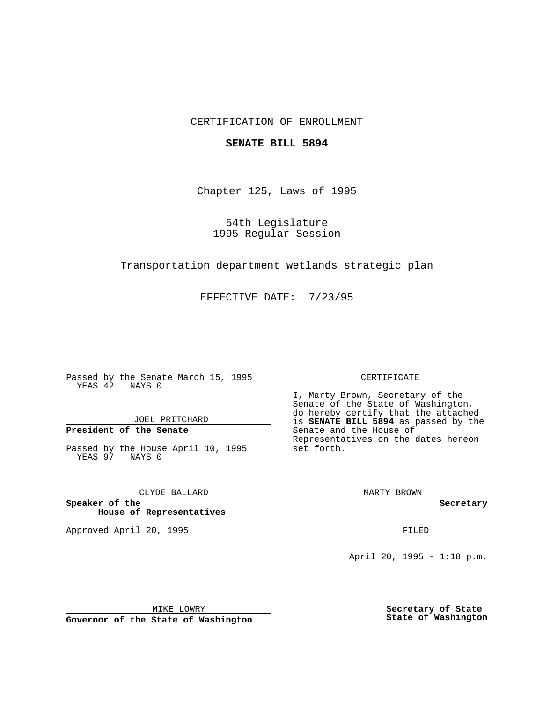### CERTIFICATION OF ENROLLMENT

#### **SENATE BILL 5894**

Chapter 125, Laws of 1995

54th Legislature 1995 Regular Session

Transportation department wetlands strategic plan

EFFECTIVE DATE: 7/23/95

Passed by the Senate March 15, 1995 YEAS 42 NAYS 0

JOEL PRITCHARD

# **President of the Senate**

Passed by the House April 10, 1995 YEAS 97 NAYS 0

CLYDE BALLARD

**Speaker of the House of Representatives**

Approved April 20, 1995 FILED

#### CERTIFICATE

I, Marty Brown, Secretary of the Senate of the State of Washington, do hereby certify that the attached is **SENATE BILL 5894** as passed by the Senate and the House of Representatives on the dates hereon set forth.

MARTY BROWN

**Secretary**

April 20, 1995 - 1:18 p.m.

MIKE LOWRY

**Governor of the State of Washington**

**Secretary of State State of Washington**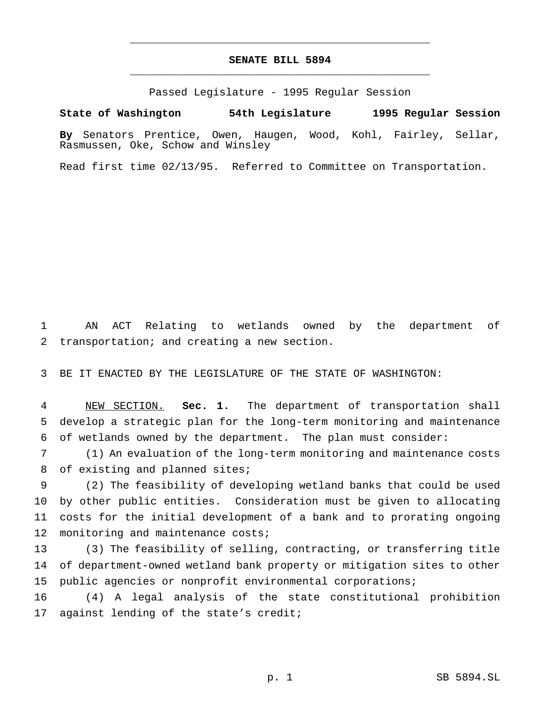## **SENATE BILL 5894** \_\_\_\_\_\_\_\_\_\_\_\_\_\_\_\_\_\_\_\_\_\_\_\_\_\_\_\_\_\_\_\_\_\_\_\_\_\_\_\_\_\_\_\_\_\_\_

\_\_\_\_\_\_\_\_\_\_\_\_\_\_\_\_\_\_\_\_\_\_\_\_\_\_\_\_\_\_\_\_\_\_\_\_\_\_\_\_\_\_\_\_\_\_\_

Passed Legislature - 1995 Regular Session

**State of Washington 54th Legislature 1995 Regular Session**

**By** Senators Prentice, Owen, Haugen, Wood, Kohl, Fairley, Sellar, Rasmussen, Oke, Schow and Winsley

Read first time 02/13/95. Referred to Committee on Transportation.

1 AN ACT Relating to wetlands owned by the department of 2 transportation; and creating a new section.

3 BE IT ENACTED BY THE LEGISLATURE OF THE STATE OF WASHINGTON:

4 NEW SECTION. **Sec. 1.** The department of transportation shall 5 develop a strategic plan for the long-term monitoring and maintenance 6 of wetlands owned by the department. The plan must consider:

7 (1) An evaluation of the long-term monitoring and maintenance costs 8 of existing and planned sites;

 (2) The feasibility of developing wetland banks that could be used by other public entities. Consideration must be given to allocating costs for the initial development of a bank and to prorating ongoing 12 monitoring and maintenance costs;

13 (3) The feasibility of selling, contracting, or transferring title 14 of department-owned wetland bank property or mitigation sites to other 15 public agencies or nonprofit environmental corporations;

16 (4) A legal analysis of the state constitutional prohibition 17 against lending of the state's credit;